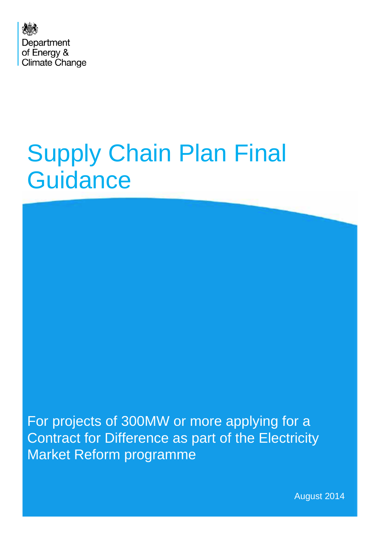

# Supply Chain Plan Final **Guidance**

For projects of 300MW or more applying for a Contract for Difference as part of the Electricity Market Reform programme

August 2014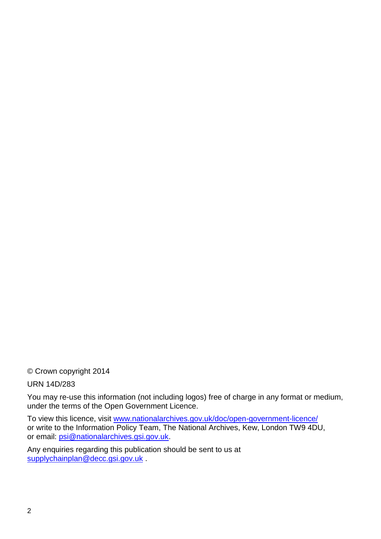© Crown copyright 2014

URN 14D/283

You may re-use this information (not including logos) free of charge in any format or medium, under the terms of the Open Government Licence.

To view this licence, visit [www.nationalarchives.gov.uk/doc/open-government-licence/](http://www.nationalarchives.gov.uk/doc/open-government-licence/) or write to the Information Policy Team, The National Archives, Kew, London TW9 4DU, or email: [psi@nationalarchives.gsi.gov.uk.](mailto:psi@nationalarchives.gsi.gov.uk)

Any enquiries regarding this publication should be sent to us at [supplychainplan@decc.gsi.gov.uk](mailto:supplychainplan@decc.gsi.gov.uk) .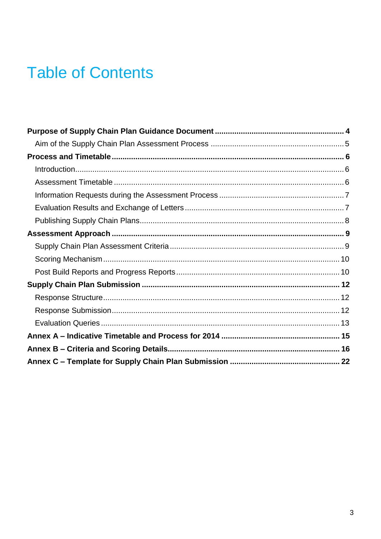# **Table of Contents**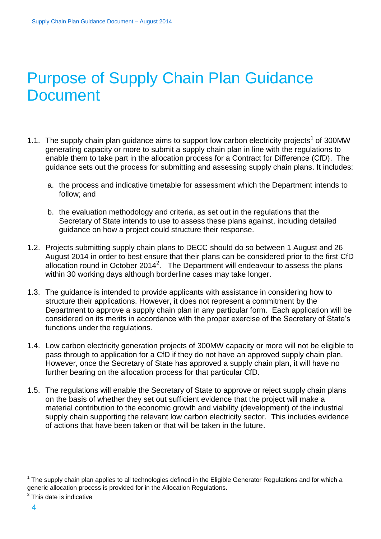# <span id="page-3-0"></span>Purpose of Supply Chain Plan Guidance **Document**

- 1.1. The supply chain plan guidance aims to support low carbon electricity projects<sup>1</sup> of 300MW generating capacity or more to submit a supply chain plan in line with the regulations to enable them to take part in the allocation process for a Contract for Difference (CfD). The guidance sets out the process for submitting and assessing supply chain plans. It includes:
	- a. the process and indicative timetable for assessment which the Department intends to follow; and
	- b. the evaluation methodology and criteria, as set out in the regulations that the Secretary of State intends to use to assess these plans against, including detailed guidance on how a project could structure their response.
- 1.2. Projects submitting supply chain plans to DECC should do so between 1 August and 26 August 2014 in order to best ensure that their plans can be considered prior to the first CfD allocation round in October 2014<sup>2</sup>. The Department will endeavour to assess the plans within 30 working days although borderline cases may take longer.
- 1.3. The guidance is intended to provide applicants with assistance in considering how to structure their applications. However, it does not represent a commitment by the Department to approve a supply chain plan in any particular form. Each application will be considered on its merits in accordance with the proper exercise of the Secretary of State's functions under the regulations.
- 1.4. Low carbon electricity generation projects of 300MW capacity or more will not be eligible to pass through to application for a CfD if they do not have an approved supply chain plan. However, once the Secretary of State has approved a supply chain plan, it will have no further bearing on the allocation process for that particular CfD.
- 1.5. The regulations will enable the Secretary of State to approve or reject supply chain plans on the basis of whether they set out sufficient evidence that the project will make a material contribution to the economic growth and viability (development) of the industrial supply chain supporting the relevant low carbon electricity sector. This includes evidence of actions that have been taken or that will be taken in the future.

 $1$  The supply chain plan applies to all technologies defined in the Eligible Generator Regulations and for which a generic allocation process is provided for in the Allocation Regulations.

<sup>&</sup>lt;sup>2</sup> This date is indicative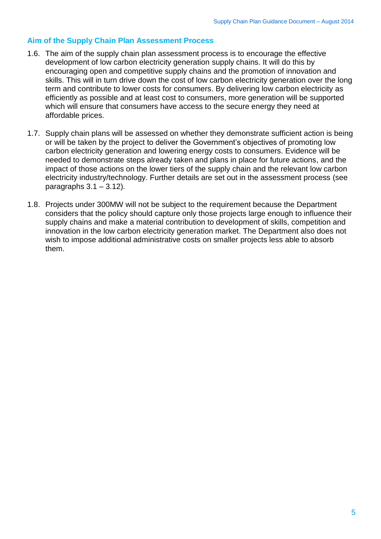#### <span id="page-4-0"></span>**Aim of the Supply Chain Plan Assessment Process**

- 1.6. The aim of the supply chain plan assessment process is to encourage the effective development of low carbon electricity generation supply chains. It will do this by encouraging open and competitive supply chains and the promotion of innovation and skills. This will in turn drive down the cost of low carbon electricity generation over the long term and contribute to lower costs for consumers. By delivering low carbon electricity as efficiently as possible and at least cost to consumers, more generation will be supported which will ensure that consumers have access to the secure energy they need at affordable prices.
- 1.7. Supply chain plans will be assessed on whether they demonstrate sufficient action is being or will be taken by the project to deliver the Government's objectives of promoting low carbon electricity generation and lowering energy costs to consumers. Evidence will be needed to demonstrate steps already taken and plans in place for future actions, and the impact of those actions on the lower tiers of the supply chain and the relevant low carbon electricity industry/technology. Further details are set out in the assessment process (see paragraphs  $3.1 - 3.12$ ).
- 1.8. Projects under 300MW will not be subject to the requirement because the Department considers that the policy should capture only those projects large enough to influence their supply chains and make a material contribution to development of skills, competition and innovation in the low carbon electricity generation market. The Department also does not wish to impose additional administrative costs on smaller projects less able to absorb them.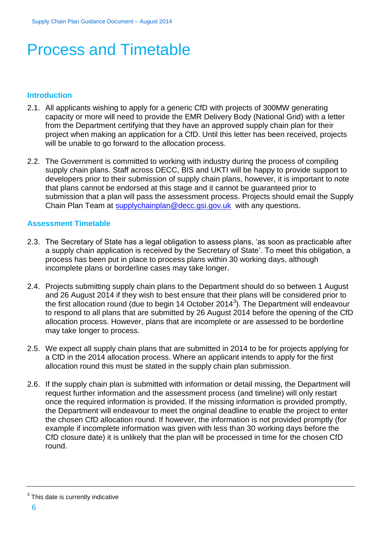# <span id="page-5-0"></span>Process and Timetable

#### <span id="page-5-1"></span>**Introduction**

- 2.1. All applicants wishing to apply for a generic CfD with projects of 300MW generating capacity or more will need to provide the EMR Delivery Body (National Grid) with a letter from the Department certifying that they have an approved supply chain plan for their project when making an application for a CfD. Until this letter has been received, projects will be unable to go forward to the allocation process.
- 2.2. The Government is committed to working with industry during the process of compiling supply chain plans. Staff across DECC, BIS and UKTI will be happy to provide support to developers prior to their submission of supply chain plans, however, it is important to note that plans cannot be endorsed at this stage and it cannot be guaranteed prior to submission that a plan will pass the assessment process. Projects should email the Supply Chain Plan Team at [supplychainplan@decc.gsi.gov.uk](mailto:supplychainplan@decc.gsi.gov.uk) with any questions.

#### <span id="page-5-2"></span>**Assessment Timetable**

- 2.3. The Secretary of State has a legal obligation to assess plans, 'as soon as practicable after a supply chain application is received by the Secretary of State'. To meet this obligation, a process has been put in place to process plans within 30 working days, although incomplete plans or borderline cases may take longer.
- 2.4. Projects submitting supply chain plans to the Department should do so between 1 August and 26 August 2014 if they wish to best ensure that their plans will be considered prior to the first allocation round (due to begin 14 October 2014<sup>3</sup>). The Department will endeavour to respond to all plans that are submitted by 26 August 2014 before the opening of the CfD allocation process. However, plans that are incomplete or are assessed to be borderline may take longer to process.
- 2.5. We expect all supply chain plans that are submitted in 2014 to be for projects applying for a CfD in the 2014 allocation process. Where an applicant intends to apply for the first allocation round this must be stated in the supply chain plan submission.
- 2.6. If the supply chain plan is submitted with information or detail missing, the Department will request further information and the assessment process (and timeline) will only restart once the required information is provided. If the missing information is provided promptly, the Department will endeavour to meet the original deadline to enable the project to enter the chosen CfD allocation round. If however, the information is not provided promptly (for example if incomplete information was given with less than 30 working days before the CfD closure date) it is unlikely that the plan will be processed in time for the chosen CfD round.

 $3$  This date is currently indicative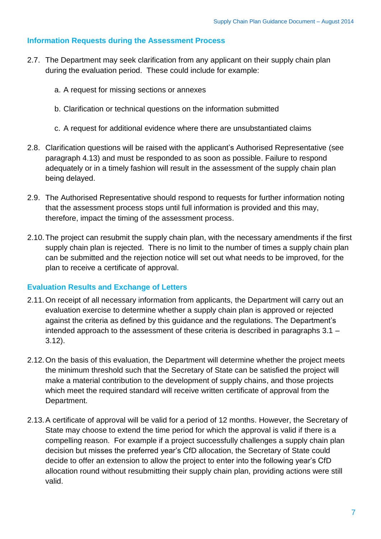#### <span id="page-6-0"></span>**Information Requests during the Assessment Process**

- 2.7. The Department may seek clarification from any applicant on their supply chain plan during the evaluation period. These could include for example:
	- a. A request for missing sections or annexes
	- b. Clarification or technical questions on the information submitted
	- c. A request for additional evidence where there are unsubstantiated claims
- 2.8. Clarification questions will be raised with the applicant's Authorised Representative (see paragraph 4.13) and must be responded to as soon as possible. Failure to respond adequately or in a timely fashion will result in the assessment of the supply chain plan being delayed.
- 2.9. The Authorised Representative should respond to requests for further information noting that the assessment process stops until full information is provided and this may, therefore, impact the timing of the assessment process.
- 2.10.The project can resubmit the supply chain plan, with the necessary amendments if the first supply chain plan is rejected. There is no limit to the number of times a supply chain plan can be submitted and the rejection notice will set out what needs to be improved, for the plan to receive a certificate of approval.

#### <span id="page-6-1"></span>**Evaluation Results and Exchange of Letters**

- 2.11.On receipt of all necessary information from applicants, the Department will carry out an evaluation exercise to determine whether a supply chain plan is approved or rejected against the criteria as defined by this guidance and the regulations. The Department's intended approach to the assessment of these criteria is described in paragraphs 3.1 – 3.12).
- 2.12.On the basis of this evaluation, the Department will determine whether the project meets the minimum threshold such that the Secretary of State can be satisfied the project will make a material contribution to the development of supply chains, and those projects which meet the required standard will receive written certificate of approval from the Department.
- 2.13.A certificate of approval will be valid for a period of 12 months. However, the Secretary of State may choose to extend the time period for which the approval is valid if there is a compelling reason. For example if a project successfully challenges a supply chain plan decision but misses the preferred year's CfD allocation, the Secretary of State could decide to offer an extension to allow the project to enter into the following year's CfD allocation round without resubmitting their supply chain plan, providing actions were still valid.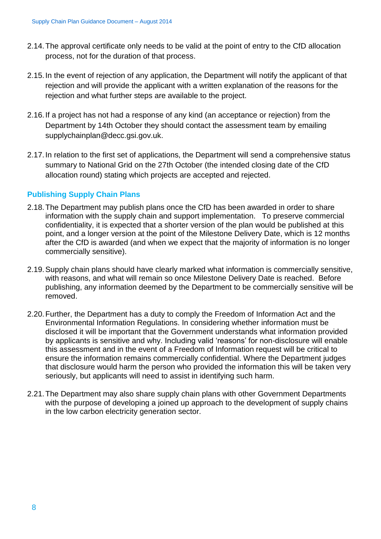- 2.14.The approval certificate only needs to be valid at the point of entry to the CfD allocation process, not for the duration of that process.
- 2.15.In the event of rejection of any application, the Department will notify the applicant of that rejection and will provide the applicant with a written explanation of the reasons for the rejection and what further steps are available to the project.
- 2.16.If a project has not had a response of any kind (an acceptance or rejection) from the Department by 14th October they should contact the assessment team by emailing [supplychainplan@decc.gsi.gov.uk.](mailto:supplychainplan@decc.gsi.gov.uk)
- 2.17.In relation to the first set of applications, the Department will send a comprehensive status summary to National Grid on the 27th October (the intended closing date of the CfD allocation round) stating which projects are accepted and rejected.

#### <span id="page-7-0"></span>**Publishing Supply Chain Plans**

- 2.18.The Department may publish plans once the CfD has been awarded in order to share information with the supply chain and support implementation. To preserve commercial confidentiality, it is expected that a shorter version of the plan would be published at this point, and a longer version at the point of the Milestone Delivery Date, which is 12 months after the CfD is awarded (and when we expect that the majority of information is no longer commercially sensitive).
- 2.19.Supply chain plans should have clearly marked what information is commercially sensitive, with reasons, and what will remain so once Milestone Delivery Date is reached. Before publishing, any information deemed by the Department to be commercially sensitive will be removed.
- 2.20.Further, the Department has a duty to comply the Freedom of Information Act and the Environmental Information Regulations. In considering whether information must be disclosed it will be important that the Government understands what information provided by applicants is sensitive and why. Including valid 'reasons' for non-disclosure will enable this assessment and in the event of a Freedom of Information request will be critical to ensure the information remains commercially confidential. Where the Department judges that disclosure would harm the person who provided the information this will be taken very seriously, but applicants will need to assist in identifying such harm.
- 2.21.The Department may also share supply chain plans with other Government Departments with the purpose of developing a joined up approach to the development of supply chains in the low carbon electricity generation sector.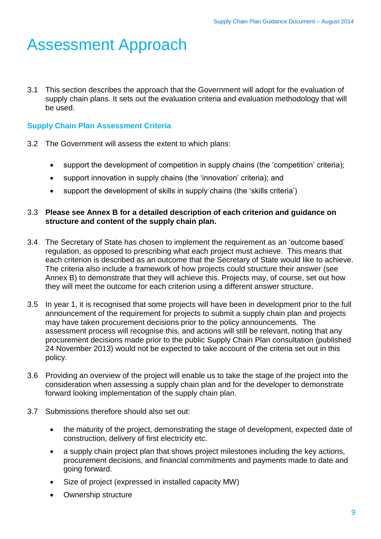# <span id="page-8-0"></span>Assessment Approach

3.1 This section describes the approach that the Government will adopt for the evaluation of supply chain plans. It sets out the evaluation criteria and evaluation methodology that will be used.

#### <span id="page-8-1"></span>**Supply Chain Plan Assessment Criteria**

- 3.2 The Government will assess the extent to which plans:
	- support the development of competition in supply chains (the 'competition' criteria);
	- support innovation in supply chains (the 'innovation' criteria); and
	- support the development of skills in supply chains (the 'skills criteria')

#### 3.3 **Please see Annex B for a detailed description of each criterion and guidance on structure and content of the supply chain plan.**

- 3.4 The Secretary of State has chosen to implement the requirement as an 'outcome based' regulation, as opposed to prescribing what each project must achieve. This means that each criterion is described as an outcome that the Secretary of State would like to achieve. The criteria also include a framework of how projects could structure their answer (see Annex B) to demonstrate that they will achieve this. Projects may, of course, set out how they will meet the outcome for each criterion using a different answer structure.
- 3.5 In year 1, it is recognised that some projects will have been in development prior to the full announcement of the requirement for projects to submit a supply chain plan and projects may have taken procurement decisions prior to the policy announcements. The assessment process will recognise this, and actions will still be relevant, noting that any procurement decisions made prior to the public Supply Chain Plan consultation (published 24 November 2013) would not be expected to take account of the criteria set out in this policy.
- 3.6 Providing an overview of the project will enable us to take the stage of the project into the consideration when assessing a supply chain plan and for the developer to demonstrate forward looking implementation of the supply chain plan.
- 3.7 Submissions therefore should also set out:
	- the maturity of the project, demonstrating the stage of development, expected date of construction, delivery of first electricity etc.
	- a supply chain project plan that shows project milestones including the key actions, procurement decisions, and financial commitments and payments made to date and going forward.
	- Size of project (expressed in installed capacity MW)
	- Ownership structure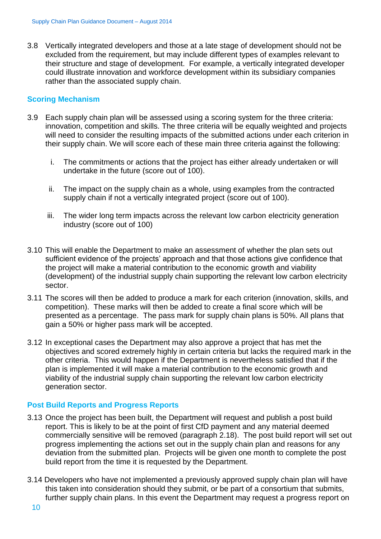3.8 Vertically integrated developers and those at a late stage of development should not be excluded from the requirement, but may include different types of examples relevant to their structure and stage of development. For example, a vertically integrated developer could illustrate innovation and workforce development within its subsidiary companies rather than the associated supply chain.

#### <span id="page-9-0"></span>**Scoring Mechanism**

- 3.9 Each supply chain plan will be assessed using a scoring system for the three criteria: innovation, competition and skills. The three criteria will be equally weighted and projects will need to consider the resulting impacts of the submitted actions under each criterion in their supply chain. We will score each of these main three criteria against the following:
	- i. The commitments or actions that the project has either already undertaken or will undertake in the future (score out of 100).
	- ii. The impact on the supply chain as a whole, using examples from the contracted supply chain if not a vertically integrated project (score out of 100).
	- iii. The wider long term impacts across the relevant low carbon electricity generation industry (score out of 100)
- 3.10 This will enable the Department to make an assessment of whether the plan sets out sufficient evidence of the projects' approach and that those actions give confidence that the project will make a material contribution to the economic growth and viability (development) of the industrial supply chain supporting the relevant low carbon electricity sector.
- 3.11 The scores will then be added to produce a mark for each criterion (innovation, skills, and competition). These marks will then be added to create a final score which will be presented as a percentage. The pass mark for supply chain plans is 50%. All plans that gain a 50% or higher pass mark will be accepted.
- 3.12 In exceptional cases the Department may also approve a project that has met the objectives and scored extremely highly in certain criteria but lacks the required mark in the other criteria. This would happen if the Department is nevertheless satisfied that if the plan is implemented it will make a material contribution to the economic growth and viability of the industrial supply chain supporting the relevant low carbon electricity generation sector.

#### <span id="page-9-1"></span>**Post Build Reports and Progress Reports**

- 3.13 Once the project has been built, the Department will request and publish a post build report. This is likely to be at the point of first CfD payment and any material deemed commercially sensitive will be removed (paragraph 2.18). The post build report will set out progress implementing the actions set out in the supply chain plan and reasons for any deviation from the submitted plan. Projects will be given one month to complete the post build report from the time it is requested by the Department.
- 3.14 Developers who have not implemented a previously approved supply chain plan will have this taken into consideration should they submit, or be part of a consortium that submits, further supply chain plans. In this event the Department may request a progress report on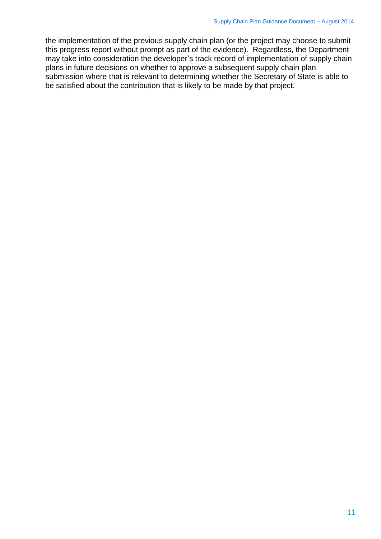the implementation of the previous supply chain plan (or the project may choose to submit this progress report without prompt as part of the evidence). Regardless, the Department may take into consideration the developer's track record of implementation of supply chain plans in future decisions on whether to approve a subsequent supply chain plan submission where that is relevant to determining whether the Secretary of State is able to be satisfied about the contribution that is likely to be made by that project.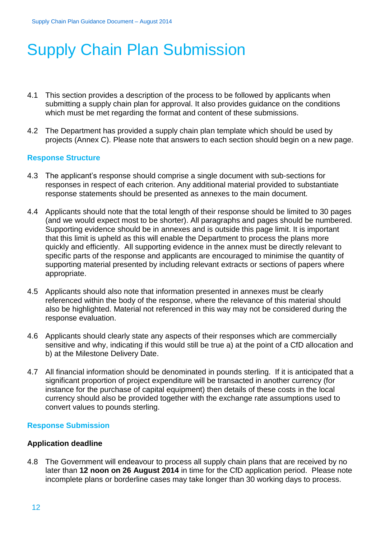# <span id="page-11-0"></span>Supply Chain Plan Submission

- 4.1 This section provides a description of the process to be followed by applicants when submitting a supply chain plan for approval. It also provides guidance on the conditions which must be met regarding the format and content of these submissions.
- 4.2 The Department has provided a supply chain plan template which should be used by projects (Annex C). Please note that answers to each section should begin on a new page.

#### <span id="page-11-1"></span>**Response Structure**

- 4.3 The applicant's response should comprise a single document with sub-sections for responses in respect of each criterion. Any additional material provided to substantiate response statements should be presented as annexes to the main document.
- 4.4 Applicants should note that the total length of their response should be limited to 30 pages (and we would expect most to be shorter). All paragraphs and pages should be numbered. Supporting evidence should be in annexes and is outside this page limit. It is important that this limit is upheld as this will enable the Department to process the plans more quickly and efficiently. All supporting evidence in the annex must be directly relevant to specific parts of the response and applicants are encouraged to minimise the quantity of supporting material presented by including relevant extracts or sections of papers where appropriate.
- 4.5 Applicants should also note that information presented in annexes must be clearly referenced within the body of the response, where the relevance of this material should also be highlighted. Material not referenced in this way may not be considered during the response evaluation.
- 4.6 Applicants should clearly state any aspects of their responses which are commercially sensitive and why, indicating if this would still be true a) at the point of a CfD allocation and b) at the Milestone Delivery Date.
- 4.7 All financial information should be denominated in pounds sterling. If it is anticipated that a significant proportion of project expenditure will be transacted in another currency (for instance for the purchase of capital equipment) then details of these costs in the local currency should also be provided together with the exchange rate assumptions used to convert values to pounds sterling.

#### <span id="page-11-2"></span>**Response Submission**

#### **Application deadline**

4.8 The Government will endeavour to process all supply chain plans that are received by no later than **12 noon on 26 August 2014** in time for the CfD application period. Please note incomplete plans or borderline cases may take longer than 30 working days to process.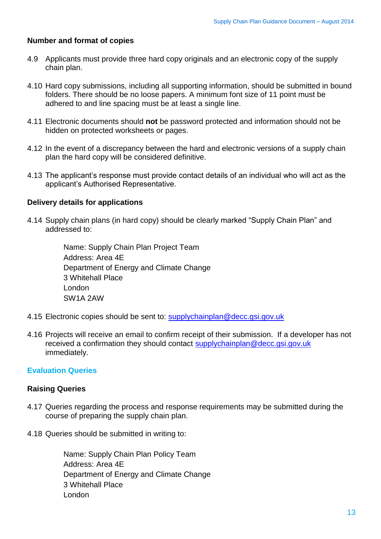#### **Number and format of copies**

- 4.9 Applicants must provide three hard copy originals and an electronic copy of the supply chain plan.
- 4.10 Hard copy submissions, including all supporting information, should be submitted in bound folders. There should be no loose papers. A minimum font size of 11 point must be adhered to and line spacing must be at least a single line.
- 4.11 Electronic documents should **not** be password protected and information should not be hidden on protected worksheets or pages.
- 4.12 In the event of a discrepancy between the hard and electronic versions of a supply chain plan the hard copy will be considered definitive.
- 4.13 The applicant's response must provide contact details of an individual who will act as the applicant's Authorised Representative.

#### **Delivery details for applications**

4.14 Supply chain plans (in hard copy) should be clearly marked "Supply Chain Plan" and addressed to:

> Name: Supply Chain Plan Project Team Address: Area 4E Department of Energy and Climate Change 3 Whitehall Place London SW1A 2AW

- 4.15 Electronic copies should be sent to: [supplychainplan@decc.gsi.gov.uk](mailto:supplychainplan@decc.gsi.gov.uk)
- 4.16 Projects will receive an email to confirm receipt of their submission. If a developer has not received a confirmation they should contact [supplychainplan@decc.gsi.gov.uk](mailto:supplychainplan@decc.gsi.gov.uk) immediately.

#### <span id="page-12-0"></span>**Evaluation Queries**

#### **Raising Queries**

- 4.17 Queries regarding the process and response requirements may be submitted during the course of preparing the supply chain plan.
- 4.18 Queries should be submitted in writing to:

Name: Supply Chain Plan Policy Team Address: Area 4E Department of Energy and Climate Change 3 Whitehall Place London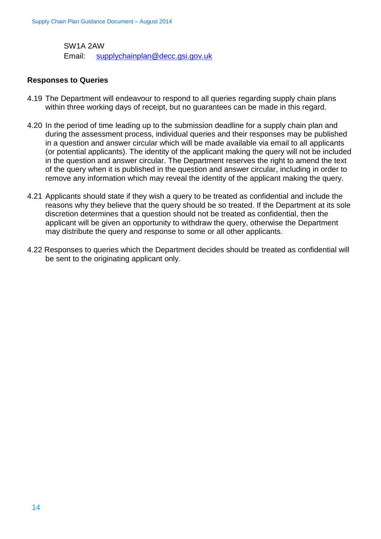SW1A 2AW Email: [supplychainplan@decc.gsi.gov.uk](mailto:supplychainplan@decc.gsi.gov.uk)

#### **Responses to Queries**

- 4.19 The Department will endeavour to respond to all queries regarding supply chain plans within three working days of receipt, but no guarantees can be made in this regard.
- 4.20 In the period of time leading up to the submission deadline for a supply chain plan and during the assessment process, individual queries and their responses may be published in a question and answer circular which will be made available via email to all applicants (or potential applicants). The identity of the applicant making the query will not be included in the question and answer circular. The Department reserves the right to amend the text of the query when it is published in the question and answer circular, including in order to remove any information which may reveal the identity of the applicant making the query.
- 4.21 Applicants should state if they wish a query to be treated as confidential and include the reasons why they believe that the query should be so treated. If the Department at its sole discretion determines that a question should not be treated as confidential, then the applicant will be given an opportunity to withdraw the query, otherwise the Department may distribute the query and response to some or all other applicants.
- 4.22 Responses to queries which the Department decides should be treated as confidential will be sent to the originating applicant only.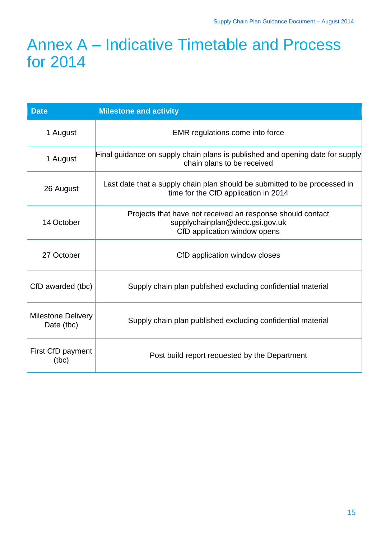## <span id="page-14-0"></span>Annex A – Indicative Timetable and Process for 2014

| <b>Date</b>                             | <b>Milestone and activity</b>                                                                                                 |  |  |
|-----------------------------------------|-------------------------------------------------------------------------------------------------------------------------------|--|--|
| 1 August                                | EMR regulations come into force                                                                                               |  |  |
| 1 August                                | Final guidance on supply chain plans is published and opening date for supply<br>chain plans to be received                   |  |  |
| 26 August                               | Last date that a supply chain plan should be submitted to be processed in<br>time for the CfD application in 2014             |  |  |
| 14 October                              | Projects that have not received an response should contact<br>supplychainplan@decc.gsi.gov.uk<br>CfD application window opens |  |  |
| 27 October                              | CfD application window closes                                                                                                 |  |  |
| CfD awarded (tbc)                       | Supply chain plan published excluding confidential material                                                                   |  |  |
| <b>Milestone Delivery</b><br>Date (tbc) | Supply chain plan published excluding confidential material                                                                   |  |  |
| First CfD payment<br>(tbc)              | Post build report requested by the Department                                                                                 |  |  |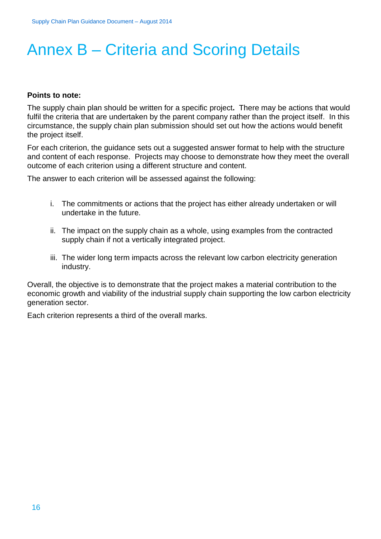# <span id="page-15-0"></span>Annex B – Criteria and Scoring Details

#### **Points to note:**

The supply chain plan should be written for a specific project**.** There may be actions that would fulfil the criteria that are undertaken by the parent company rather than the project itself. In this circumstance, the supply chain plan submission should set out how the actions would benefit the project itself.

For each criterion, the guidance sets out a suggested answer format to help with the structure and content of each response. Projects may choose to demonstrate how they meet the overall outcome of each criterion using a different structure and content.

The answer to each criterion will be assessed against the following:

- i. The commitments or actions that the project has either already undertaken or will undertake in the future.
- ii. The impact on the supply chain as a whole, using examples from the contracted supply chain if not a vertically integrated project.
- iii. The wider long term impacts across the relevant low carbon electricity generation industry.

Overall, the objective is to demonstrate that the project makes a material contribution to the economic growth and viability of the industrial supply chain supporting the low carbon electricity generation sector.

Each criterion represents a third of the overall marks.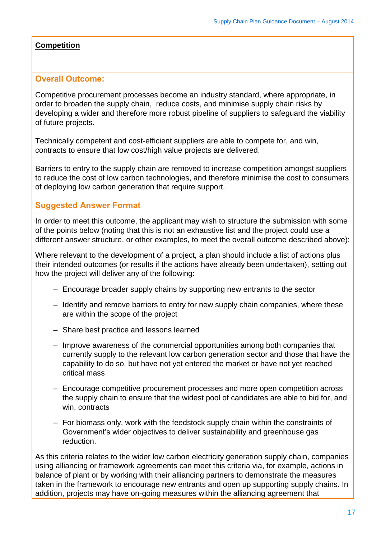#### **Competition**

#### **Overall Outcome:**

Competitive procurement processes become an industry standard, where appropriate, in order to broaden the supply chain, reduce costs, and minimise supply chain risks by developing a wider and therefore more robust pipeline of suppliers to safeguard the viability of future projects.

Technically competent and cost-efficient suppliers are able to compete for, and win, contracts to ensure that low cost/high value projects are delivered.

Barriers to entry to the supply chain are removed to increase competition amongst suppliers to reduce the cost of low carbon technologies, and therefore minimise the cost to consumers of deploying low carbon generation that require support.

#### **Suggested Answer Format**

In order to meet this outcome, the applicant may wish to structure the submission with some of the points below (noting that this is not an exhaustive list and the project could use a different answer structure, or other examples, to meet the overall outcome described above):

Where relevant to the development of a project, a plan should include a list of actions plus their intended outcomes (or results if the actions have already been undertaken), setting out how the project will deliver any of the following:

- Encourage broader supply chains by supporting new entrants to the sector
- Identify and remove barriers to entry for new supply chain companies, where these are within the scope of the project
- Share best practice and lessons learned
- Improve awareness of the commercial opportunities among both companies that currently supply to the relevant low carbon generation sector and those that have the capability to do so, but have not yet entered the market or have not yet reached critical mass
- Encourage competitive procurement processes and more open competition across the supply chain to ensure that the widest pool of candidates are able to bid for, and win, contracts
- For biomass only, work with the feedstock supply chain within the constraints of Government's wider objectives to deliver sustainability and greenhouse gas reduction.

As this criteria relates to the wider low carbon electricity generation supply chain, companies using alliancing or framework agreements can meet this criteria via, for example, actions in balance of plant or by working with their alliancing partners to demonstrate the measures taken in the framework to encourage new entrants and open up supporting supply chains. In addition, projects may have on-going measures within the alliancing agreement that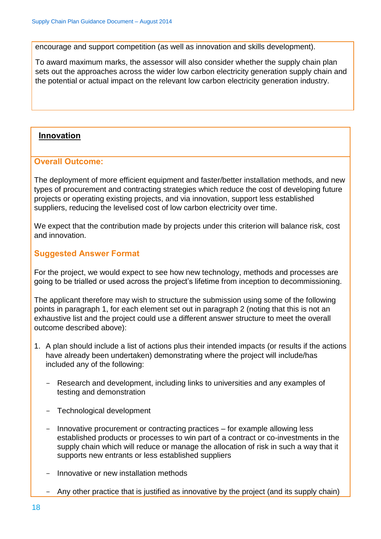encourage and support competition (as well as innovation and skills development).

To award maximum marks, the assessor will also consider whether the supply chain plan sets out the approaches across the wider low carbon electricity generation supply chain and the potential or actual impact on the relevant low carbon electricity generation industry.

#### **Innovation**

#### **Overall Outcome:**

The deployment of more efficient equipment and faster/better installation methods, and new types of procurement and contracting strategies which reduce the cost of developing future projects or operating existing projects, and via innovation, support less established suppliers, reducing the levelised cost of low carbon electricity over time.

We expect that the contribution made by projects under this criterion will balance risk, cost and innovation.

#### **Suggested Answer Format**

For the project, we would expect to see how new technology, methods and processes are going to be trialled or used across the project's lifetime from inception to decommissioning.

The applicant therefore may wish to structure the submission using some of the following points in paragraph 1, for each element set out in paragraph 2 (noting that this is not an exhaustive list and the project could use a different answer structure to meet the overall outcome described above):

- 1. A plan should include a list of actions plus their intended impacts (or results if the actions have already been undertaken) demonstrating where the project will include/has included any of the following:
	- Research and development, including links to universities and any examples of testing and demonstration
	- Technological development
	- Innovative procurement or contracting practices for example allowing less established products or processes to win part of a contract or co-investments in the supply chain which will reduce or manage the allocation of risk in such a way that it supports new entrants or less established suppliers
	- Innovative or new installation methods
	- Any other practice that is justified as innovative by the project (and its supply chain)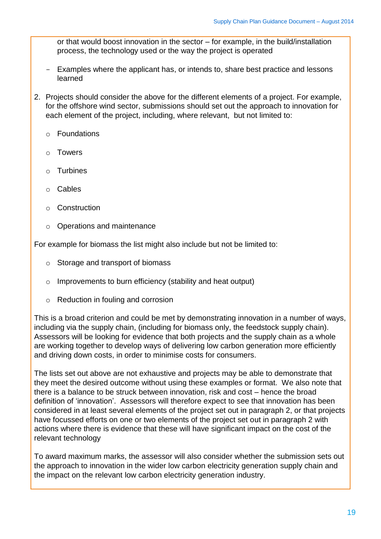or that would boost innovation in the sector – for example, in the build/installation process, the technology used or the way the project is operated

- Examples where the applicant has, or intends to, share best practice and lessons learned
- 2. Projects should consider the above for the different elements of a project. For example, for the offshore wind sector, submissions should set out the approach to innovation for each element of the project, including, where relevant, but not limited to:
	- o Foundations
	- o Towers
	- o Turbines
	- o Cables
	- o Construction
	- o Operations and maintenance

For example for biomass the list might also include but not be limited to:

- o Storage and transport of biomass
- o Improvements to burn efficiency (stability and heat output)
- o Reduction in fouling and corrosion

This is a broad criterion and could be met by demonstrating innovation in a number of ways, including via the supply chain, (including for biomass only, the feedstock supply chain). Assessors will be looking for evidence that both projects and the supply chain as a whole are working together to develop ways of delivering low carbon generation more efficiently and driving down costs, in order to minimise costs for consumers.

The lists set out above are not exhaustive and projects may be able to demonstrate that they meet the desired outcome without using these examples or format. We also note that there is a balance to be struck between innovation, risk and cost – hence the broad definition of 'innovation'. Assessors will therefore expect to see that innovation has been considered in at least several elements of the project set out in paragraph 2, or that projects have focussed efforts on one or two elements of the project set out in paragraph 2 with actions where there is evidence that these will have significant impact on the cost of the relevant technology

To award maximum marks, the assessor will also consider whether the submission sets out the approach to innovation in the wider low carbon electricity generation supply chain and the impact on the relevant low carbon electricity generation industry.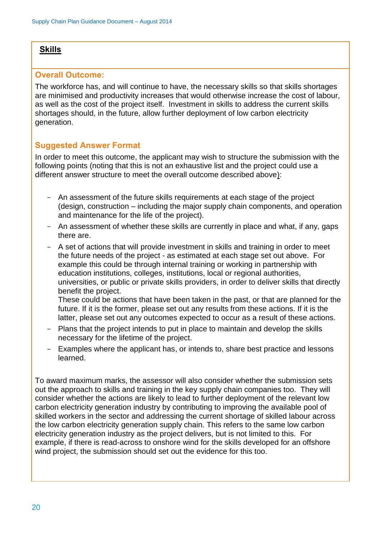#### **Skills**

#### **Overall Outcome:**

The workforce has, and will continue to have, the necessary skills so that skills shortages are minimised and productivity increases that would otherwise increase the cost of labour, as well as the cost of the project itself. Investment in skills to address the current skills shortages should, in the future, allow further deployment of low carbon electricity generation.

#### **Suggested Answer Format**

In order to meet this outcome, the applicant may wish to structure the submission with the following points (noting that this is not an exhaustive list and the project could use a different answer structure to meet the overall outcome described above):

- An assessment of the future skills requirements at each stage of the project (design, construction – including the major supply chain components, and operation and maintenance for the life of the project).
- An assessment of whether these skills are currently in place and what, if any, gaps there are.
- A set of actions that will provide investment in skills and training in order to meet the future needs of the project - as estimated at each stage set out above. For example this could be through internal training or working in partnership with education institutions, colleges, institutions, local or regional authorities, universities, or public or private skills providers, in order to deliver skills that directly benefit the project.

These could be actions that have been taken in the past, or that are planned for the future. If it is the former, please set out any results from these actions. If it is the latter, please set out any outcomes expected to occur as a result of these actions.

- Plans that the project intends to put in place to maintain and develop the skills necessary for the lifetime of the project.
- Examples where the applicant has, or intends to, share best practice and lessons learned.

To award maximum marks, the assessor will also consider whether the submission sets out the approach to skills and training in the key supply chain companies too. They will consider whether the actions are likely to lead to further deployment of the relevant low carbon electricity generation industry by contributing to improving the available pool of skilled workers in the sector and addressing the current shortage of skilled labour across the low carbon electricity generation supply chain. This refers to the same low carbon electricity generation industry as the project delivers, but is not limited to this. For example, if there is read-across to onshore wind for the skills developed for an offshore wind project, the submission should set out the evidence for this too.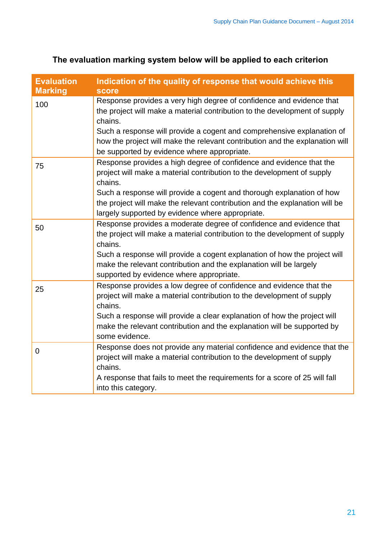| <b>Evaluation</b><br><b>Marking</b> | Indication of the quality of response that would achieve this<br><b>score</b>                                                                                                                                                                                                                                                                                          |
|-------------------------------------|------------------------------------------------------------------------------------------------------------------------------------------------------------------------------------------------------------------------------------------------------------------------------------------------------------------------------------------------------------------------|
| 100                                 | Response provides a very high degree of confidence and evidence that<br>the project will make a material contribution to the development of supply<br>chains.<br>Such a response will provide a cogent and comprehensive explanation of<br>how the project will make the relevant contribution and the explanation will<br>be supported by evidence where appropriate. |
| 75                                  | Response provides a high degree of confidence and evidence that the<br>project will make a material contribution to the development of supply<br>chains.<br>Such a response will provide a cogent and thorough explanation of how<br>the project will make the relevant contribution and the explanation will be<br>largely supported by evidence where appropriate.   |
| 50                                  | Response provides a moderate degree of confidence and evidence that<br>the project will make a material contribution to the development of supply<br>chains.<br>Such a response will provide a cogent explanation of how the project will<br>make the relevant contribution and the explanation will be largely<br>supported by evidence where appropriate.            |
| 25                                  | Response provides a low degree of confidence and evidence that the<br>project will make a material contribution to the development of supply<br>chains.<br>Such a response will provide a clear explanation of how the project will<br>make the relevant contribution and the explanation will be supported by<br>some evidence.                                       |
| $\overline{0}$                      | Response does not provide any material confidence and evidence that the<br>project will make a material contribution to the development of supply<br>chains.<br>A response that fails to meet the requirements for a score of 25 will fall<br>into this category.                                                                                                      |

### **The evaluation marking system below will be applied to each criterion**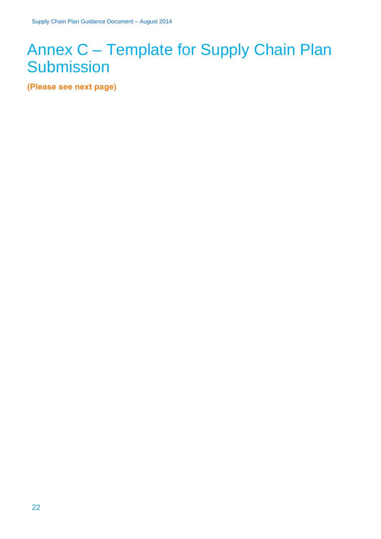# <span id="page-21-0"></span>Annex C – Template for Supply Chain Plan **Submission**

**(Please see next page)**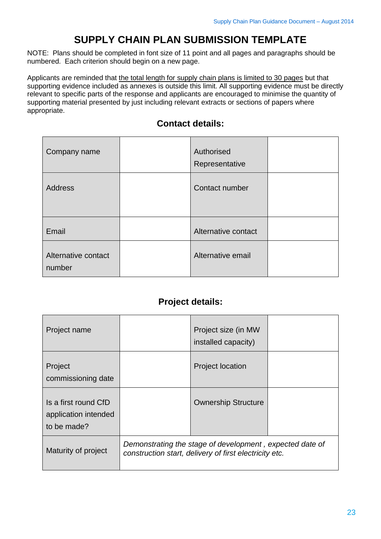### **SUPPLY CHAIN PLAN SUBMISSION TEMPLATE**

NOTE: Plans should be completed in font size of 11 point and all pages and paragraphs should be numbered. Each criterion should begin on a new page.

Applicants are reminded that the total length for supply chain plans is limited to 30 pages but that supporting evidence included as annexes is outside this limit. All supporting evidence must be directly relevant to specific parts of the response and applicants are encouraged to minimise the quantity of supporting material presented by just including relevant extracts or sections of papers where appropriate.

| Company name                  | Authorised<br>Representative |  |
|-------------------------------|------------------------------|--|
| <b>Address</b>                | Contact number               |  |
| Email                         | Alternative contact          |  |
| Alternative contact<br>number | Alternative email            |  |

### **Contact details:**

### **Project details:**

| Project name                                                |                                                                                                                    | Project size (in MW<br>installed capacity) |  |
|-------------------------------------------------------------|--------------------------------------------------------------------------------------------------------------------|--------------------------------------------|--|
| Project<br>commissioning date                               |                                                                                                                    | <b>Project location</b>                    |  |
| Is a first round CfD<br>application intended<br>to be made? |                                                                                                                    | <b>Ownership Structure</b>                 |  |
| Maturity of project                                         | Demonstrating the stage of development, expected date of<br>construction start, delivery of first electricity etc. |                                            |  |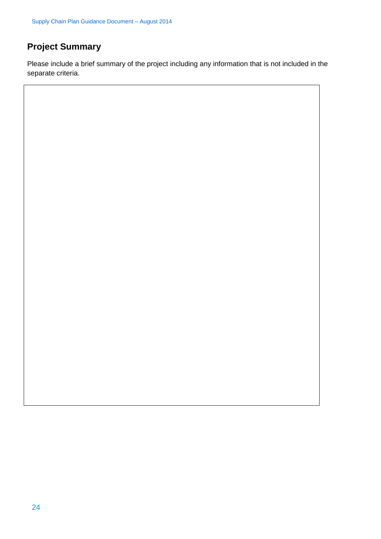### **Project Summary**

Please include a brief summary of the project including any information that is not included in the separate criteria.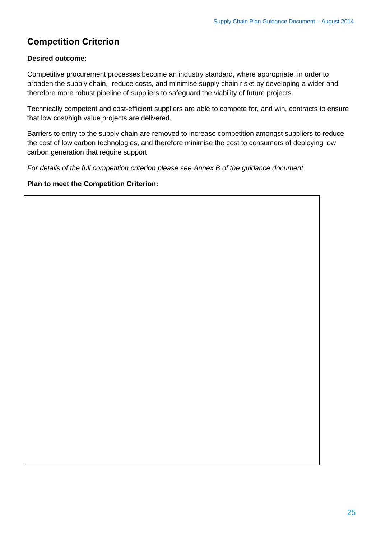### **Competition Criterion**

#### **Desired outcome:**

Competitive procurement processes become an industry standard, where appropriate, in order to broaden the supply chain, reduce costs, and minimise supply chain risks by developing a wider and therefore more robust pipeline of suppliers to safeguard the viability of future projects.

Technically competent and cost-efficient suppliers are able to compete for, and win, contracts to ensure that low cost/high value projects are delivered.

Barriers to entry to the supply chain are removed to increase competition amongst suppliers to reduce the cost of low carbon technologies, and therefore minimise the cost to consumers of deploying low carbon generation that require support.

*For details of the full competition criterion please see Annex B of the guidance document* 

#### **Plan to meet the Competition Criterion:**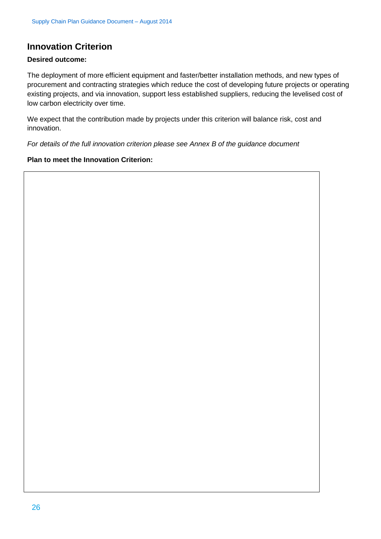### **Innovation Criterion**

#### **Desired outcome:**

The deployment of more efficient equipment and faster/better installation methods, and new types of procurement and contracting strategies which reduce the cost of developing future projects or operating existing projects, and via innovation, support less established suppliers, reducing the levelised cost of low carbon electricity over time.

We expect that the contribution made by projects under this criterion will balance risk, cost and innovation.

*For details of the full innovation criterion please see Annex B of the guidance document*

#### **Plan to meet the Innovation Criterion:**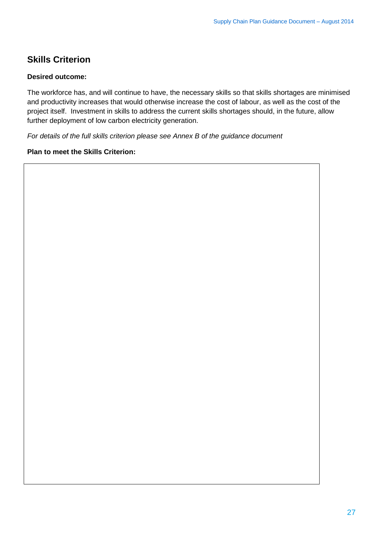### **Skills Criterion**

#### **Desired outcome:**

The workforce has, and will continue to have, the necessary skills so that skills shortages are minimised and productivity increases that would otherwise increase the cost of labour, as well as the cost of the project itself. Investment in skills to address the current skills shortages should, in the future, allow further deployment of low carbon electricity generation.

*For details of the full skills criterion please see Annex B of the guidance document* 

#### **Plan to meet the Skills Criterion:**